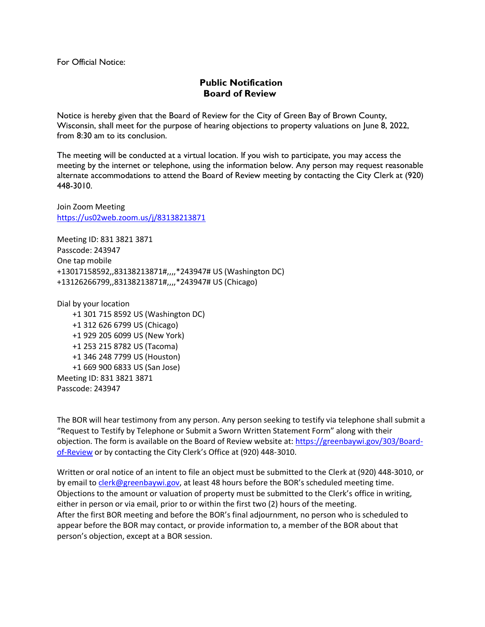For Official Notice:

## **Public Notification Board of Review**

Notice is hereby given that the Board of Review for the City of Green Bay of Brown County, Wisconsin, shall meet for the purpose of hearing objections to property valuations on June 8, 2022, from 8:30 am to its conclusion.

The meeting will be conducted at a virtual location. If you wish to participate, you may access the meeting by the internet or telephone, using the information below. Any person may request reasonable alternate accommodations to attend the Board of Review meeting by contacting the City Clerk at (920) 448-3010.

Join Zoom Meeting <https://us02web.zoom.us/j/83138213871>

Meeting ID: 831 3821 3871 Passcode: 243947 One tap mobile +13017158592,,83138213871#,,,,\*243947# US (Washington DC) +13126266799,,83138213871#,,,,\*243947# US (Chicago)

Dial by your location +1 301 715 8592 US (Washington DC) +1 312 626 6799 US (Chicago) +1 929 205 6099 US (New York) +1 253 215 8782 US (Tacoma) +1 346 248 7799 US (Houston) +1 669 900 6833 US (San Jose) Meeting ID: 831 3821 3871 Passcode: 243947

The BOR will hear testimony from any person. Any person seeking to testify via telephone shall submit a "Request to Testify by Telephone or Submit a Sworn Written Statement Form" along with their objection. The form is available on the Board of Review website at: [https://greenbaywi.gov/303/Board](https://greenbaywi.gov/303/Board-of-Review)[of-Review](https://greenbaywi.gov/303/Board-of-Review) or by contacting the City Clerk's Office at (920) 448-3010.

Written or oral notice of an intent to file an object must be submitted to the Clerk at (920) 448-3010, or by email to [clerk@greenbaywi.gov](mailto:clerk@greenbaywi.gov), at least 48 hours before the BOR's scheduled meeting time. Objections to the amount or valuation of property must be submitted to the Clerk's office in writing, either in person or via email, prior to or within the first two (2) hours of the meeting. After the first BOR meeting and before the BOR's final adjournment, no person who is scheduled to appear before the BOR may contact, or provide information to, a member of the BOR about that person's objection, except at a BOR session.